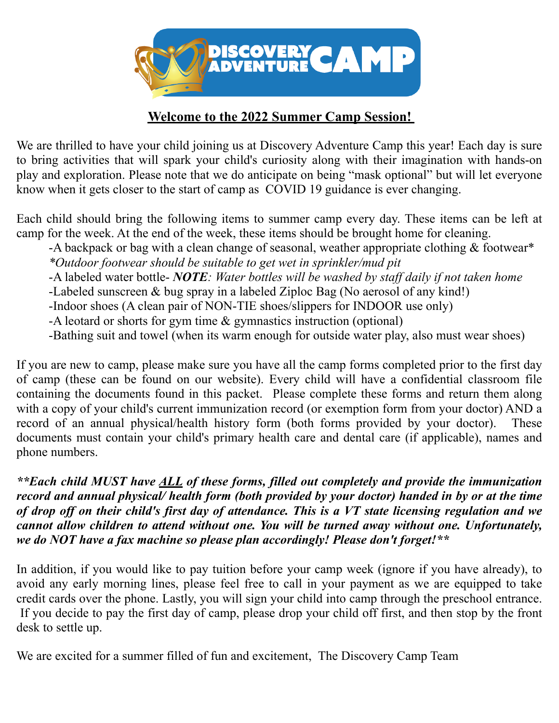

### **Welcome to the 2022 Summer Camp Session!**

We are thrilled to have your child joining us at Discovery Adventure Camp this year! Each day is sure to bring activities that will spark your child's curiosity along with their imagination with hands-on play and exploration. Please note that we do anticipate on being "mask optional" but will let everyone know when it gets closer to the start of camp as COVID 19 guidance is ever changing.

Each child should bring the following items to summer camp every day. These items can be left at camp for the week. At the end of the week, these items should be brought home for cleaning.

 -A backpack or bag with a clean change of seasonal, weather appropriate clothing & footwear\* *\*Outdoor footwear should be suitable to get wet in sprinkler/mud pit* 

-A labeled water bottle- *NOTE: Water bottles will be washed by staff daily if not taken home*

-Labeled sunscreen & bug spray in a labeled Ziploc Bag (No aerosol of any kind!)

-Indoor shoes (A clean pair of NON-TIE shoes/slippers for INDOOR use only)

-A leotard or shorts for gym time & gymnastics instruction (optional)

-Bathing suit and towel (when its warm enough for outside water play, also must wear shoes)

If you are new to camp, please make sure you have all the camp forms completed prior to the first day of camp (these can be found on our website). Every child will have a confidential classroom file containing the documents found in this packet. Please complete these forms and return them along with a copy of your child's current immunization record (or exemption form from your doctor) AND a record of an annual physical/health history form (both forms provided by your doctor). These documents must contain your child's primary health care and dental care (if applicable), names and phone numbers.

*\*\*Each child MUST have ALL of these forms, filled out completely and provide the immunization record and annual physical/ health form (both provided by your doctor) handed in by or at the time of drop off on their child's first day of attendance. This is a VT state licensing regulation and we cannot allow children to attend without one. You will be turned away without one. Unfortunately, we do NOT have a fax machine so please plan accordingly! Please don't forget!\*\**

In addition, if you would like to pay tuition before your camp week (ignore if you have already), to avoid any early morning lines, please feel free to call in your payment as we are equipped to take credit cards over the phone. Lastly, you will sign your child into camp through the preschool entrance. If you decide to pay the first day of camp, please drop your child off first, and then stop by the front desk to settle up.

We are excited for a summer filled of fun and excitement, The Discovery Camp Team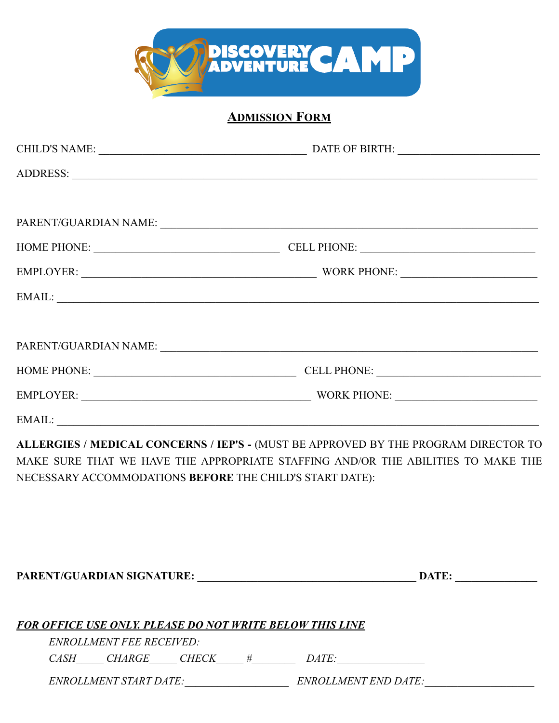

# **ADMISSION FORM**

|                                                                 | HOME PHONE: CELL PHONE: CELL PHONE:                                                                                                                                                                                                                                                                                                                                                                                                                                             |  |
|-----------------------------------------------------------------|---------------------------------------------------------------------------------------------------------------------------------------------------------------------------------------------------------------------------------------------------------------------------------------------------------------------------------------------------------------------------------------------------------------------------------------------------------------------------------|--|
|                                                                 | EMPLOYER: WORK PHONE:                                                                                                                                                                                                                                                                                                                                                                                                                                                           |  |
|                                                                 |                                                                                                                                                                                                                                                                                                                                                                                                                                                                                 |  |
|                                                                 |                                                                                                                                                                                                                                                                                                                                                                                                                                                                                 |  |
|                                                                 |                                                                                                                                                                                                                                                                                                                                                                                                                                                                                 |  |
|                                                                 | HOME PHONE: CELL PHONE: CELL PHONE:                                                                                                                                                                                                                                                                                                                                                                                                                                             |  |
|                                                                 |                                                                                                                                                                                                                                                                                                                                                                                                                                                                                 |  |
|                                                                 |                                                                                                                                                                                                                                                                                                                                                                                                                                                                                 |  |
|                                                                 | ALLERGIES / MEDICAL CONCERNS / IEP'S - (MUST BE APPROVED BY THE PROGRAM DIRECTOR TO                                                                                                                                                                                                                                                                                                                                                                                             |  |
|                                                                 | MAKE SURE THAT WE HAVE THE APPROPRIATE STAFFING AND/OR THE ABILITIES TO MAKE THE                                                                                                                                                                                                                                                                                                                                                                                                |  |
| NECESSARY ACCOMMODATIONS BEFORE THE CHILD'S START DATE):        |                                                                                                                                                                                                                                                                                                                                                                                                                                                                                 |  |
|                                                                 |                                                                                                                                                                                                                                                                                                                                                                                                                                                                                 |  |
|                                                                 |                                                                                                                                                                                                                                                                                                                                                                                                                                                                                 |  |
|                                                                 |                                                                                                                                                                                                                                                                                                                                                                                                                                                                                 |  |
|                                                                 |                                                                                                                                                                                                                                                                                                                                                                                                                                                                                 |  |
|                                                                 |                                                                                                                                                                                                                                                                                                                                                                                                                                                                                 |  |
| <b>FOR OFFICE USE ONLY, PLEASE DO NOT WRITE BELOW THIS LINE</b> |                                                                                                                                                                                                                                                                                                                                                                                                                                                                                 |  |
| <b>ENROLLMENT FEE RECEIVED:</b>                                 |                                                                                                                                                                                                                                                                                                                                                                                                                                                                                 |  |
|                                                                 | $CASH$ CHARGE CHECK $#$ DATE:                                                                                                                                                                                                                                                                                                                                                                                                                                                   |  |
|                                                                 | $\emph{ENROLLMENT START DATE:}\footnotesize\hspace{2.0cm} \normalsize \hspace{2.0cm} \normalsize \hspace{2.0cm} \normalsize \hspace{2.0cm} \normalsize \hspace{2.0cm} \normalsize \hspace{2.0cm} \normalsize \hspace{2.0cm} \normalsize \hspace{2.0cm} \normalsize \hspace{2.0cm} \normalsize \hspace{2.0cm} \normalsize \hspace{2.0cm} \normalsize \hspace{2.0cm} \normalsize \hspace{2.0cm} \normalsize \hspace{2.0cm} \normalsize \hspace{2.0cm} \normalsize \hspace{2.0cm}$ |  |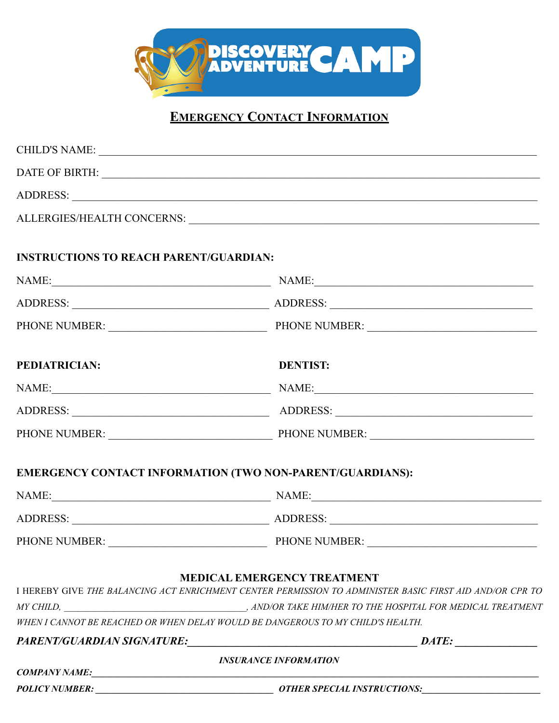

## **EMERGENCY CONTACT INFORMATION**

|                                               | ADDRESS: New York Contract the Contract of the Contract of the Contract of the Contract of the Contract of the Contract of the Contract of the Contract of the Contract of the Contract of the Contract of the Contract of the |
|-----------------------------------------------|--------------------------------------------------------------------------------------------------------------------------------------------------------------------------------------------------------------------------------|
|                                               | ALLERGIES/HEALTH CONCERNS: University of the contract of the contract of the contract of the contract of the contract of the contract of the contract of the contract of the contract of the contract of the contract of the c |
| <b>INSTRUCTIONS TO REACH PARENT/GUARDIAN:</b> |                                                                                                                                                                                                                                |
|                                               | NAME: NAME: NAME:                                                                                                                                                                                                              |
|                                               |                                                                                                                                                                                                                                |
|                                               | PHONE NUMBER: PHONE NUMBER:                                                                                                                                                                                                    |
| PEDIATRICIAN:                                 | <b>DENTIST:</b>                                                                                                                                                                                                                |
|                                               | NAME: NAME:                                                                                                                                                                                                                    |
|                                               |                                                                                                                                                                                                                                |
|                                               |                                                                                                                                                                                                                                |
|                                               | EMERGENCY CONTACT INFORMATION (TWO NON-PARENT/GUARDIANS):                                                                                                                                                                      |
|                                               | NAME: NAME:                                                                                                                                                                                                                    |
|                                               |                                                                                                                                                                                                                                |
|                                               | PHONE NUMBER: PHONE NUMBER:                                                                                                                                                                                                    |
|                                               | <b>MEDICAL EMERGENCY TREATMENT</b><br>I HEREBY GIVE THE BALANCING ACT ENRICHMENT CENTER PERMISSION TO ADMINISTER BASIC FIRST AID AND/OR CPR TO                                                                                 |
|                                               | WHEN I CANNOT BE REACHED OR WHEN DELAY WOULD BE DANGEROUS TO MY CHILD'S HEALTH.                                                                                                                                                |
| PARENT/GUARDIAN SIGNATURE:                    | $\blacksquare$ $\blacksquare$ $\blacksquare$ $\blacksquare$ $\blacksquare$ $\blacksquare$                                                                                                                                      |
|                                               | <b>INSURANCE INFORMATION</b><br>COMPANY NAME:                                                                                                                                                                                  |
| <b>POLICY NUMBER:</b>                         | <b>OTHER SPECIAL INSTRUCTIONS:</b>                                                                                                                                                                                             |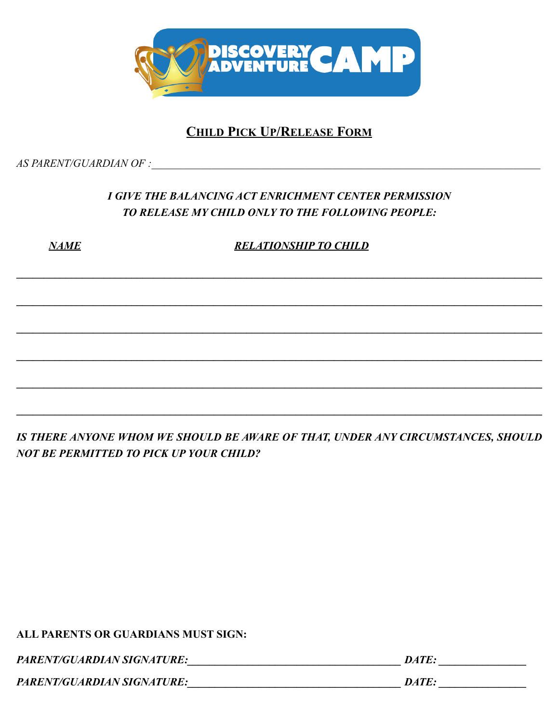

### **CHILD PICK UP/RELEASE FORM**

AS PARENT/GUARDIAN OF :

### I GIVE THE BALANCING ACT ENRICHMENT CENTER PERMISSION TO RELEASE MY CHILD ONLY TO THE FOLLOWING PEOPLE:

**NAME** 

**RELATIONSHIP TO CHILD** 

IS THERE ANYONE WHOM WE SHOULD BE AWARE OF THAT, UNDER ANY CIRCUMSTANCES, SHOULD **NOT BE PERMITTED TO PICK UP YOUR CHILD?** 

**ALL PARENTS OR GUARDIANS MUST SIGN:** 

**PARENT/GUARDIAN SIGNATURE:** DATE: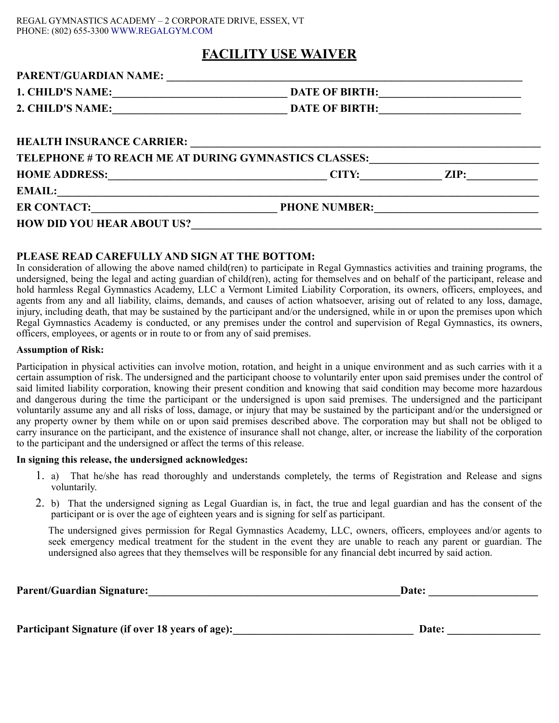#### REGAL GYMNASTICS ACADEMY – 2 CORPORATE DRIVE, ESSEX, VT PHONE: (802) 655-3300 WWW.REGALGYM.COM

#### **FACILITY USE WAIVER**

| PARENT/GUARDIAN NAME:                                                                                                                      |                       |                 |  |
|--------------------------------------------------------------------------------------------------------------------------------------------|-----------------------|-----------------|--|
| <b>1. CHILD'S NAME:</b>                                                                                                                    | <b>DATE OF BIRTH:</b> |                 |  |
| 2. CHILD'S NAME:                                                                                                                           | <b>DATE OF BIRTH:</b> |                 |  |
|                                                                                                                                            |                       |                 |  |
| <b>HEALTH INSURANCE CARRIER:</b>                                                                                                           |                       |                 |  |
| TELEPHONE # TO REACH ME AT DURING GYMNASTICS CLASSES:                                                                                      |                       |                 |  |
| HOME ADDRESS: <u>_____________________________</u>                                                                                         | CITY:                 | $\mathbf{ZIP:}$ |  |
|                                                                                                                                            |                       |                 |  |
| <b>ER CONTACT:</b><br><u> Alexandria de la contrada de la contrada de la contrada de la contrada de la contrada de la contrada de la c</u> | <b>PHONE NUMBER:</b>  |                 |  |
|                                                                                                                                            |                       |                 |  |

#### **PLEASE READ CAREFULLY AND SIGN AT THE BOTTOM:**

In consideration of allowing the above named child(ren) to participate in Regal Gymnastics activities and training programs, the undersigned, being the legal and acting guardian of child(ren), acting for themselves and on behalf of the participant, release and hold harmless Regal Gymnastics Academy, LLC a Vermont Limited Liability Corporation, its owners, officers, employees, and agents from any and all liability, claims, demands, and causes of action whatsoever, arising out of related to any loss, damage, injury, including death, that may be sustained by the participant and/or the undersigned, while in or upon the premises upon which Regal Gymnastics Academy is conducted, or any premises under the control and supervision of Regal Gymnastics, its owners, officers, employees, or agents or in route to or from any of said premises.

#### **Assumption of Risk:**

Participation in physical activities can involve motion, rotation, and height in a unique environment and as such carries with it a certain assumption of risk. The undersigned and the participant choose to voluntarily enter upon said premises under the control of said limited liability corporation, knowing their present condition and knowing that said condition may become more hazardous and dangerous during the time the participant or the undersigned is upon said premises. The undersigned and the participant voluntarily assume any and all risks of loss, damage, or injury that may be sustained by the participant and/or the undersigned or any property owner by them while on or upon said premises described above. The corporation may but shall not be obliged to carry insurance on the participant, and the existence of insurance shall not change, alter, or increase the liability of the corporation to the participant and the undersigned or affect the terms of this release.

#### **In signing this release, the undersigned acknowledges:**

- 1. a) That he/she has read thoroughly and understands completely, the terms of Registration and Release and signs voluntarily.
- 2. b) That the undersigned signing as Legal Guardian is, in fact, the true and legal guardian and has the consent of the participant or is over the age of eighteen years and is signing for self as participant.

The undersigned gives permission for Regal Gymnastics Academy, LLC, owners, officers, employees and/or agents to seek emergency medical treatment for the student in the event they are unable to reach any parent or guardian. The undersigned also agrees that they themselves will be responsible for any financial debt incurred by said action.

| <b>Parent/Guardian Signature:</b>                | Date: |  |
|--------------------------------------------------|-------|--|
|                                                  |       |  |
| Participant Signature (if over 18 years of age): | Date: |  |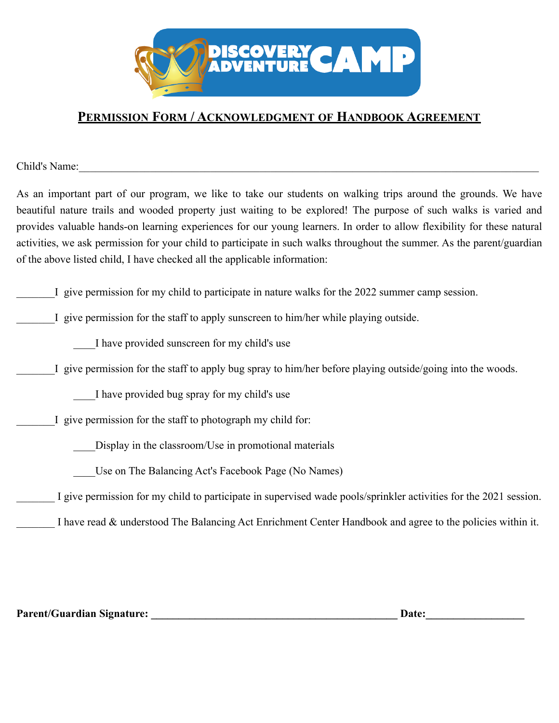

#### **PERMISSION FORM / ACKNOWLEDGMENT OF HANDBOOK AGREEMENT**

Child's Name:

As an important part of our program, we like to take our students on walking trips around the grounds. We have beautiful nature trails and wooded property just waiting to be explored! The purpose of such walks is varied and provides valuable hands-on learning experiences for our young learners. In order to allow flexibility for these natural activities, we ask permission for your child to participate in such walks throughout the summer. As the parent/guardian of the above listed child, I have checked all the applicable information:

I give permission for my child to participate in nature walks for the 2022 summer camp session.

I give permission for the staff to apply sunscreen to him/her while playing outside.

\_\_\_\_I have provided sunscreen for my child's use

I give permission for the staff to apply bug spray to him/her before playing outside/going into the woods.

\_\_\_\_I have provided bug spray for my child's use

I give permission for the staff to photograph my child for:

Display in the classroom/Use in promotional materials

Use on The Balancing Act's Facebook Page (No Names)

I give permission for my child to participate in supervised wade pools/sprinkler activities for the 2021 session.

I have read & understood The Balancing Act Enrichment Center Handbook and agree to the policies within it.

Parent/Guardian Signature: **Example 2018** 2014 2015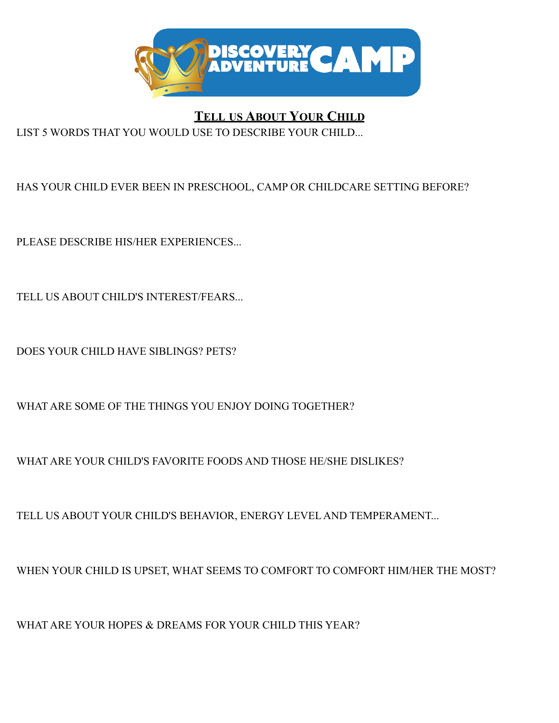

**TELL US ABOUT YOUR CHILD**

LIST 5 WORDS THAT YOU WOULD USE TO DESCRIBE YOUR CHILD...

HAS YOUR CHILD EVER BEEN IN PRESCHOOL, CAMP OR CHILDCARE SETTING BEFORE?

PLEASE DESCRIBE HIS/HER EXPERIENCES...

TELL US ABOUT CHILD'S INTEREST/FEARS...

DOES YOUR CHILD HAVE SIBLINGS? PETS?

WHAT ARE SOME OF THE THINGS YOU ENJOY DOING TOGETHER?

WHAT ARE YOUR CHILD'S FAVORITE FOODS AND THOSE HE/SHE DISLIKES?

TELL US ABOUT YOUR CHILD'S BEHAVIOR, ENERGY LEVEL AND TEMPERAMENT...

WHEN YOUR CHILD IS UPSET, WHAT SEEMS TO COMFORT TO COMFORT HIM/HER THE MOST?

WHAT ARE YOUR HOPES & DREAMS FOR YOUR CHILD THIS YEAR?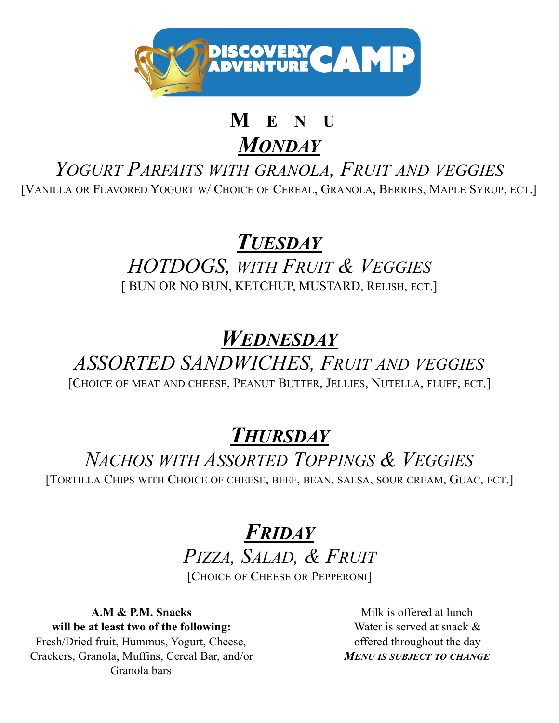

# **M E N I**

*MONDAY*

*YOGURT PARFAITS WITH GRANOLA, FRUIT AND VEGGIES* [VANILLA OR FLAVORED YOGURT W/ CHOICE OF CEREAL, GRANOLA, BERRIES, MAPLE SYRUP, ECT.]

# *TUESDAY*

*HOTDOGS, WITH FRUIT & VEGGIES* [ BUN OR NO BUN, KETCHUP, MUSTARD, RELISH, ECT.]

# *WEDNESDAY*

# *ASSORTED SANDWICHES, FRUIT AND VEGGIES*

[CHOICE OF MEAT AND CHEESE, PEANUT BUTTER, JELLIES, NUTELLA, FLUFF, ECT.]

*THURSDAY*

# *NACHOS WITH ASSORTED TOPPINGS & VEGGIES*

[TORTILLA CHIPS WITH CHOICE OF CHEESE, BEEF, BEAN, SALSA, SOUR CREAM, GUAC, ECT.]

# *FRIDAY*

*PIZZA, SALAD, & FRUIT* [CHOICE OF CHEESE OR PEPPERONI]

**A.M & P.M. Snacks will be at least two of the following:**  Fresh/Dried fruit, Hummus, Yogurt, Cheese, Crackers, Granola, Muffins, Cereal Bar, and/or Granola bars

 Milk is offered at lunch Water is served at snack & offered throughout the day *MENU IS SUBJECT TO CHANGE*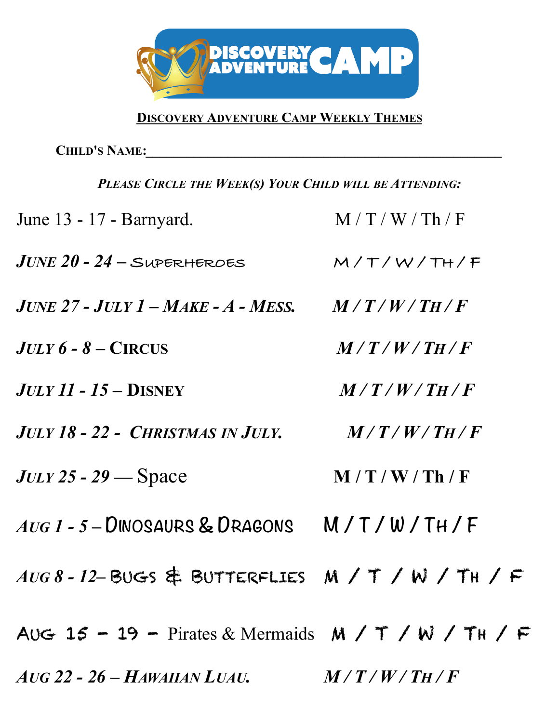

# **DISCOVERY ADVENTURE CAMP WEEKLY THEMES**

**CHILD'S NAME:***\_\_\_\_\_\_\_\_\_\_\_\_\_\_\_\_\_\_\_\_\_\_\_\_\_\_\_\_\_\_\_\_\_\_\_\_\_\_\_\_\_\_\_\_\_\_\_\_\_\_\_\_*

| PLEASE CIRCLE THE WEEK(S) YOUR CHILD WILL BE ATTENDING: |               |  |
|---------------------------------------------------------|---------------|--|
| June 13 - 17 - Barnyard.                                | M/T/W/Th/F    |  |
| $JUNE$ 20 - 24 – SUPERHEROES                            | M/T/W/TH/F    |  |
| $JUNE$ 27 - $JULT$ $I-MAKE$ - $A$ - Mess.               | $M/T/W/T_H/F$ |  |
| $JULY$ 6 - 8 – CIRCUS                                   | $M/T/W/T_H/F$ |  |
| $JULY$ 11 - 15 - DISNEY                                 | M/T/W/TH/F    |  |
| <b>JULY 18 - 22 - CHRISTMAS IN JULY.</b>                | M/T/W/TH/F    |  |
| $JULY$ 25 - 29 — Space                                  | M/T/W/Th/F    |  |
| $A \cup G$ $1 - 5 -$ DINOSAURS & DRAGONS M/T/W/TH/F     |               |  |
| AUG 8-12-BUGS & BUTTERFLIES M / T / W / TH / F          |               |  |
| AUG 15 - 19 - Pirates & Mermaids $M / T / W / T$ H / F  |               |  |
| $A$ UG 22 - 26 - HAWAIIAN LUAU. $M/T/W/T_H/F$           |               |  |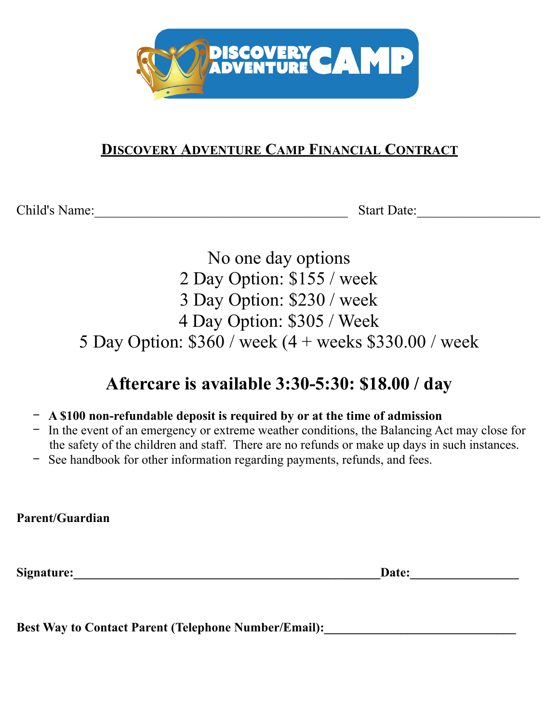

# **DISCOVERY ADVENTURE CAMP FINANCIAL CONTRACT**

Child's Name: Start Date:

No one day options 2 Day Option: \$155 / week 3 Day Option: \$230 / week 4 Day Option: \$305 / Week 5 Day Option: \$360 / week (4 + weeks \$330.00 / week

# **Aftercare is available 3:30-5:30: \$18.00 / day**

- − **A \$100 non-refundable deposit is required by or at the time of admission**
- − In the event of an emergency or extreme weather conditions, the Balancing Act may close for the safety of the children and staff. There are no refunds or make up days in such instances.
- − See handbook for other information regarding payments, refunds, and fees.

**Parent/Guardian** 

**Signature:\_\_\_\_\_\_\_\_\_\_\_\_\_\_\_\_\_\_\_\_\_\_\_\_\_\_\_\_\_\_\_\_\_\_\_\_\_\_\_\_\_\_\_\_\_\_\_\_Date:\_\_\_\_\_\_\_\_\_\_\_\_\_\_\_\_\_** 

Best Way to Contact Parent (Telephone Number/Email):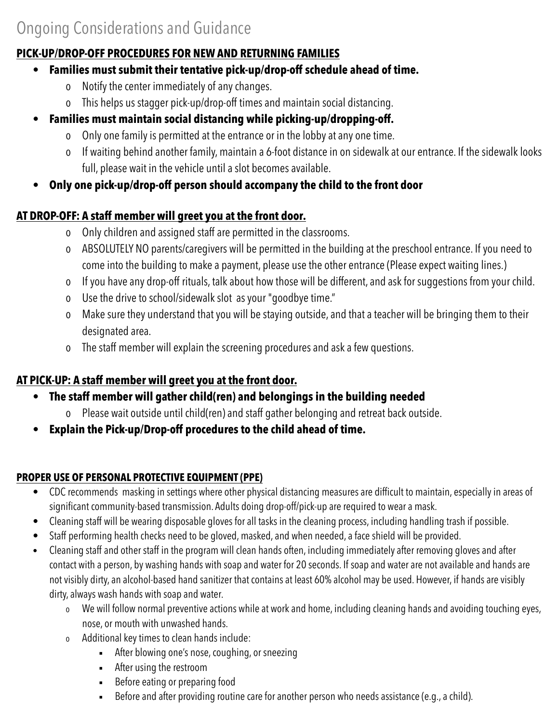## **PICK-UP/DROP-OFF PROCEDURES FOR NEW AND RETURNING FAMILIES**

### • **Families must submit their tentative pick-up/drop-off schedule ahead of time.**

- o Notify the center immediately of any changes.
- o This helps us stagger pick-up/drop-off times and maintain social distancing.
- **Families must maintain social distancing while picking-up/dropping-off.** 
	- o Only one family is permitted at the entrance or in the lobby at any one time.
	- o If waiting behind another family, maintain a 6-foot distance in on sidewalk at our entrance. If the sidewalk looks full, please wait in the vehicle until a slot becomes available.
- **Only one pick-up/drop-off person should accompany the child to the front door**

## **AT DROP-OFF: A staff member will greet you at the front door.**

- o Only children and assigned staff are permitted in the classrooms.
- o ABSOLUTELY NO parents/caregivers will be permitted in the building at the preschool entrance. If you need to come into the building to make a payment, please use the other entrance (Please expect waiting lines.)
- o If you have any drop-off rituals, talk about how those will be different, and ask for suggestions from your child.
- o Use the drive to school/sidewalk slot as your "goodbye time."
- o Make sure they understand that you will be staying outside, and that a teacher will be bringing them to their designated area.
- o The staff member will explain the screening procedures and ask a few questions.

## **AT PICK-UP: A staff member will greet you at the front door.**

- **The staff member will gather child(ren) and belongings in the building needed** 
	- o Please wait outside until child(ren) and staff gather belonging and retreat back outside.
- **Explain the Pick-up/Drop-off procedures to the child ahead of time.**

### **PROPER USE OF PERSONAL PROTECTIVE EQUIPMENT (PPE)**

- CDC recommends masking in settings where other physical distancing measures are difficult to maintain, especially in areas of significant community-based transmission. Adults doing drop-off/pick-up are required to wear a mask.
- Cleaning staff will be wearing disposable gloves for all tasks in the cleaning process, including handling trash if possible.
- Staff performing health checks need to be gloved, masked, and when needed, a face shield will be provided.
- Cleaning staff and other staff in the program will clean hands often, including immediately after removing gloves and after contact with a person, by washing hands with soap and water for 20 seconds. If soap and water are not available and hands are not visibly dirty, an alcohol-based hand sanitizer that contains at least 60% alcohol may be used. However, if hands are visibly dirty, always wash hands with soap and water.
	- o We will follow normal preventive actions while at work and home, including cleaning hands and avoiding touching eyes, nose, or mouth with unwashed hands.
	- o Additional key times to clean hands include:
		- **EXECT:** After blowing one's nose, coughing, or sneezing
		- After using the restroom
		- **EXECTE:** Before eating or preparing food
		- Before and after providing routine care for another person who needs assistance (e.g., a child).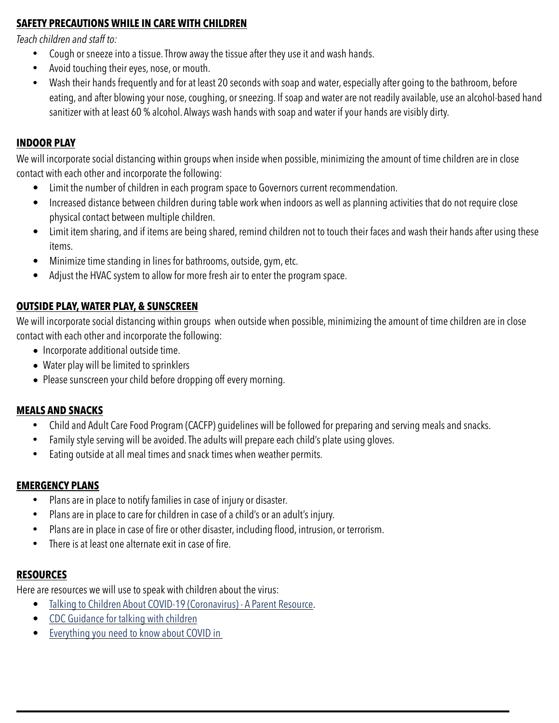#### **SAFETY PRECAUTIONS WHILE IN CARE WITH CHILDREN**

*Teach children and staff to:* 

- Cough or sneeze into a tissue. Throw away the tissue after they use it and wash hands.
- Avoid touching their eyes, nose, or mouth.
- Wash their hands frequently and for at least 20 seconds with soap and water, especially after going to the bathroom, before eating, and after blowing your nose, coughing, or sneezing. If soap and water are not readily available, use an alcohol-based hand sanitizer with at least 60 % alcohol. Always wash hands with soap and water if your hands are visibly dirty.

#### **INDOOR PLAY**

We will incorporate social distancing within groups when inside when possible, minimizing the amount of time children are in close contact with each other and incorporate the following:

- Limit the number of children in each program space to Governors current recommendation.
- Increased distance between children during table work when indoors as well as planning activities that do not require close physical contact between multiple children.
- Limit item sharing, and if items are being shared, remind children not to touch their faces and wash their hands after using these items.
- Minimize time standing in lines for bathrooms, outside, gym, etc.
- Adjust the HVAC system to allow for more fresh air to enter the program space.

#### **OUTSIDE PLAY, WATER PLAY, & SUNSCREEN**

We will incorporate social distancing within groups when outside when possible, minimizing the amount of time children are in close contact with each other and incorporate the following:

- Incorporate additional outside time.
- Water play will be limited to sprinklers
- Please sunscreen your child before dropping off every morning.

#### **MEALS AND SNACKS**

- Child and Adult Care Food Program (CACFP) guidelines will be followed for preparing and serving meals and snacks.
- Family style serving will be avoided. The adults will prepare each child's plate using gloves.
- Eating outside at all meal times and snack times when weather permits.

#### **EMERGENCY PLANS**

- Plans are in place to notify families in case of injury or disaster.
- Plans are in place to care for children in case of a child's or an adult's injury.
- Plans are in place in case of fire or other disaster, including flood, intrusion, or terrorism.
- There is at least one alternate exit in case of fire.

#### **RESOURCES**

Here are resources we will use to speak with children about the virus:

- Talking to Children About COVID-19 (Coronavirus) A Parent Resource.
- CDC Guidance for talking with children
- Everything you need to know about COVID in